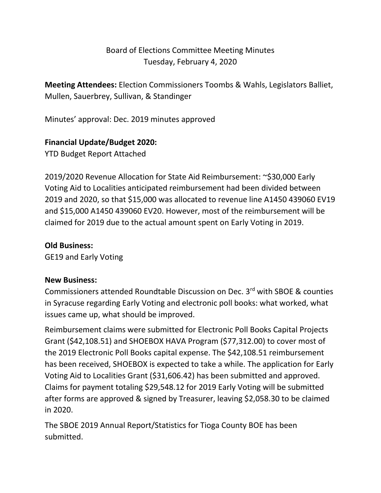# Board of Elections Committee Meeting Minutes Tuesday, February 4, 2020

**Meeting Attendees:** Election Commissioners Toombs & Wahls, Legislators Balliet, Mullen, Sauerbrey, Sullivan, & Standinger

Minutes' approval: Dec. 2019 minutes approved

## **Financial Update/Budget 2020:**

YTD Budget Report Attached

2019/2020 Revenue Allocation for State Aid Reimbursement: ~\$30,000 Early Voting Aid to Localities anticipated reimbursement had been divided between 2019 and 2020, so that \$15,000 was allocated to revenue line A1450 439060 EV19 and \$15,000 A1450 439060 EV20. However, most of the reimbursement will be claimed for 2019 due to the actual amount spent on Early Voting in 2019.

### **Old Business:**

GE19 and Early Voting

#### **New Business:**

Commissioners attended Roundtable Discussion on Dec. 3rd with SBOE & counties in Syracuse regarding Early Voting and electronic poll books: what worked, what issues came up, what should be improved.

Reimbursement claims were submitted for Electronic Poll Books Capital Projects Grant (\$42,108.51) and SHOEBOX HAVA Program (\$77,312.00) to cover most of the 2019 Electronic Poll Books capital expense. The \$42,108.51 reimbursement has been received, SHOEBOX is expected to take a while. The application for Early Voting Aid to Localities Grant (\$31,606.42) has been submitted and approved. Claims for payment totaling \$29,548.12 for 2019 Early Voting will be submitted after forms are approved & signed by Treasurer, leaving \$2,058.30 to be claimed in 2020.

The SBOE 2019 Annual Report/Statistics for Tioga County BOE has been submitted.